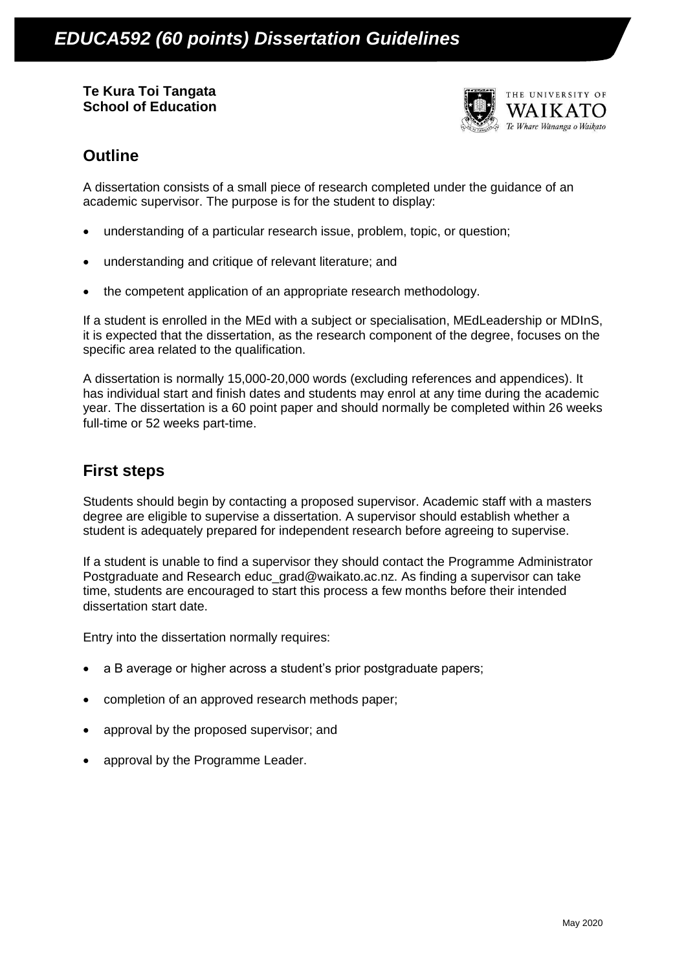**Te Kura Toi Tangata School of Education**



## **Outline**

A dissertation consists of a small piece of research completed under the guidance of an academic supervisor. The purpose is for the student to display:

- understanding of a particular research issue, problem, topic, or question;
- understanding and critique of relevant literature; and
- the competent application of an appropriate research methodology.

If a student is enrolled in the MEd with a subject or specialisation, MEdLeadership or MDInS, it is expected that the dissertation, as the research component of the degree, focuses on the specific area related to the qualification.

A dissertation is normally 15,000-20,000 words (excluding references and appendices). It has individual start and finish dates and students may enrol at any time during the academic year. The dissertation is a 60 point paper and should normally be completed within 26 weeks full-time or 52 weeks part-time.

## **First steps**

Students should begin by contacting a proposed supervisor. Academic staff with a masters degree are eligible to supervise a dissertation. A supervisor should establish whether a student is adequately prepared for independent research before agreeing to supervise.

If a student is unable to find a supervisor they should contact the Programme Administrator Postgraduate and Research [educ\\_grad@waikato.ac.nz.](mailto:educ_grad@waikato.ac.nz) As finding a supervisor can take time, students are encouraged to start this process a few months before their intended dissertation start date.

Entry into the dissertation normally requires:

- a B average or higher across a student's prior postgraduate papers;
- completion of an approved research methods paper;
- approval by the proposed supervisor; and
- approval by the Programme Leader.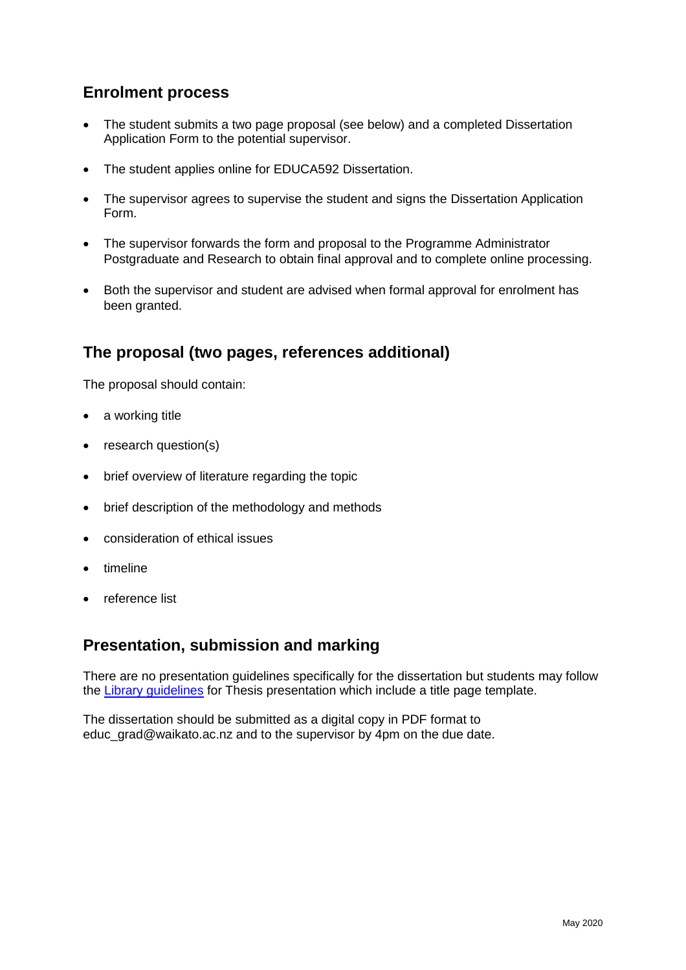## **Enrolment process**

- The student submits a two page proposal (see below) and a completed Dissertation Application Form to the potential supervisor.
- The student applies online for EDUCA592 Dissertation.
- The supervisor agrees to supervise the student and signs the Dissertation Application Form.
- The supervisor forwards the form and proposal to the Programme Administrator Postgraduate and Research to obtain final approval and to complete online processing.
- Both the supervisor and student are advised when formal approval for enrolment has been granted.

## **The proposal (two pages, references additional)**

The proposal should contain:

- a working title
- research question(s)
- brief overview of literature regarding the topic
- brief description of the methodology and methods
- consideration of ethical issues
- timeline
- reference list

## **Presentation, submission and marking**

There are no presentation guidelines specifically for the dissertation but students may follow the [Library guidelines](file:///C:/Users/traceyr/Downloads/EDUCA592%20Dissertation%20Guidelines%202020.docx) for Thesis presentation which include a title page template.

The dissertation should be submitted as a digital copy in PDF format to educ\_grad@waikato.ac.nz and to the supervisor by 4pm on the due date.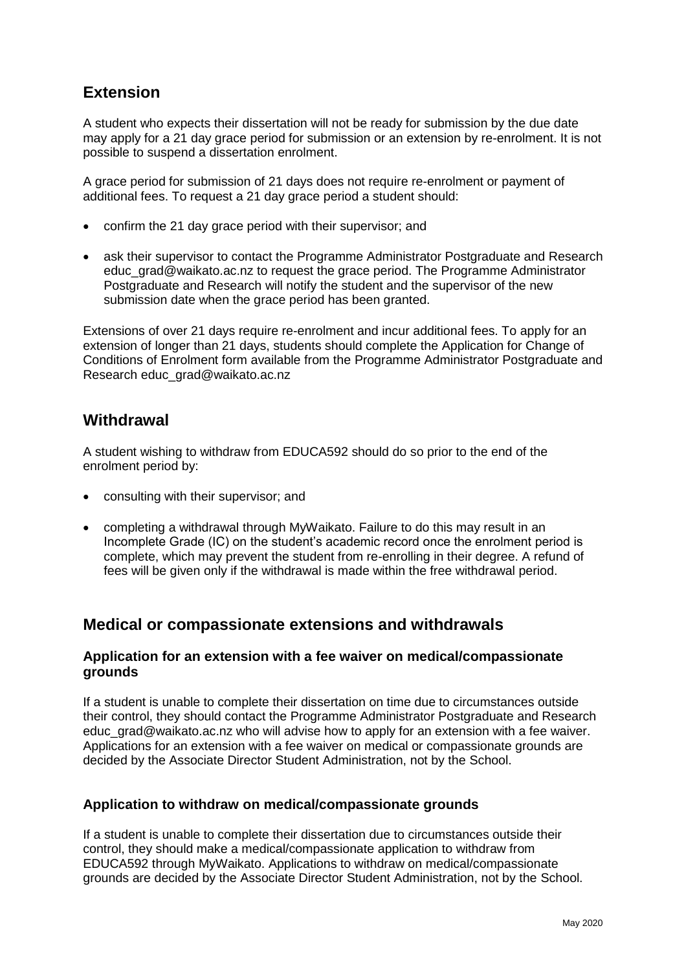# **Extension**

A student who expects their dissertation will not be ready for submission by the due date may apply for a 21 day grace period for submission or an extension by re-enrolment. It is not possible to suspend a dissertation enrolment.

A grace period for submission of 21 days does not require re-enrolment or payment of additional fees. To request a 21 day grace period a student should:

- confirm the 21 day grace period with their supervisor; and
- ask their supervisor to contact the Programme Administrator Postgraduate and Research educ\_grad@waikato.ac.nz to request the grace period. The Programme Administrator Postgraduate and Research will notify the student and the supervisor of the new submission date when the grace period has been granted.

Extensions of over 21 days require re-enrolment and incur additional fees. To apply for an extension of longer than 21 days, students should complete the Application for Change of Conditions of Enrolment form available from the Programme Administrator Postgraduate and Research educ\_grad@waikato.ac.nz

## **Withdrawal**

A student wishing to withdraw from EDUCA592 should do so prior to the end of the enrolment period by:

- consulting with their supervisor; and
- completing a withdrawal through MyWaikato. Failure to do this may result in an Incomplete Grade (IC) on the student's academic record once the enrolment period is complete, which may prevent the student from re-enrolling in their degree. A refund of fees will be given only if the withdrawal is made within the free withdrawal period.

## **Medical or compassionate extensions and withdrawals**

### **Application for an extension with a fee waiver on medical/compassionate grounds**

If a student is unable to complete their dissertation on time due to circumstances outside their control, they should contact the Programme Administrator Postgraduate and Research [educ\\_grad@waikato.ac.nz](mailto:educ_grad@waikato.ac.nz) who will advise how to apply for an extension with a fee waiver. Applications for an extension with a fee waiver on medical or compassionate grounds are decided by the Associate Director Student Administration, not by the School.

#### **Application to withdraw on medical/compassionate grounds**

If a student is unable to complete their dissertation due to circumstances outside their control, they should make a medical/compassionate application to withdraw from EDUCA592 through MyWaikato. Applications to withdraw on medical/compassionate grounds are decided by the Associate Director Student Administration, not by the School.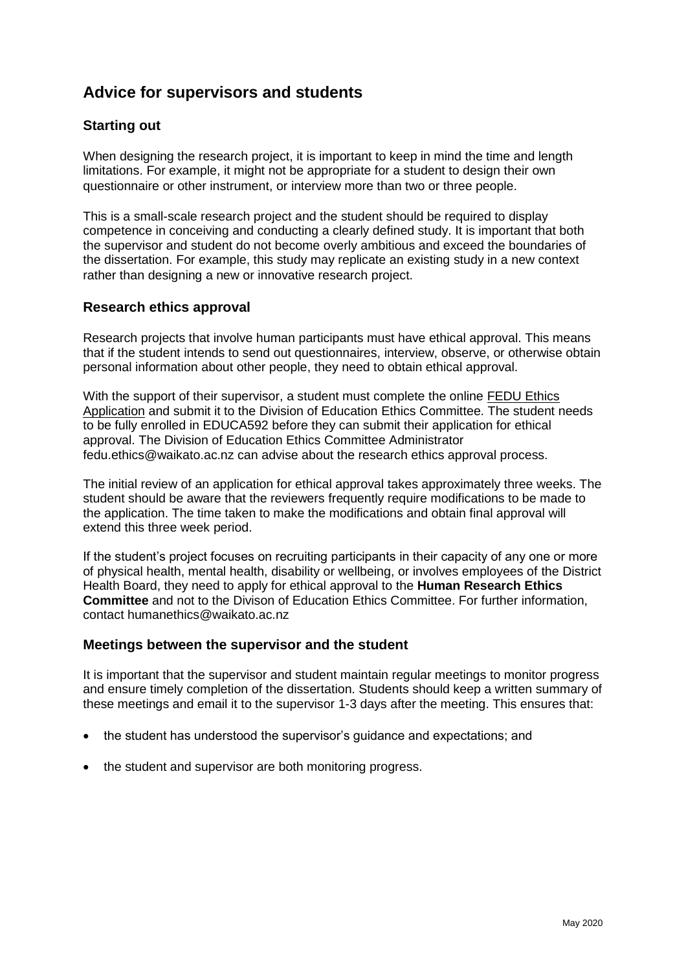# **Advice for supervisors and students**

### **Starting out**

When designing the research project, it is important to keep in mind the time and length limitations. For example, it might not be appropriate for a student to design their own questionnaire or other instrument, or interview more than two or three people.

This is a small-scale research project and the student should be required to display competence in conceiving and conducting a clearly defined study. It is important that both the supervisor and student do not become overly ambitious and exceed the boundaries of the dissertation. For example, this study may replicate an existing study in a new context rather than designing a new or innovative research project.

### **Research ethics approval**

Research projects that involve human participants must have ethical approval. This means that if the student intends to send out questionnaires, interview, observe, or otherwise obtain personal information about other people, they need to obtain ethical approval.

With the support of their supervisor, a student must complete the online **FEDU Ethics** [Application](https://edlinked.waikato.ac.nz/ethics/) and submit it to the Division of Education Ethics Committee. The student needs to be fully enrolled in EDUCA592 before they can submit their application for ethical approval. The Division of Education Ethics Committee Administrator fedu.ethics@waikato.ac.nz can advise about the research ethics approval process.

The initial review of an application for ethical approval takes approximately three weeks. The student should be aware that the reviewers frequently require modifications to be made to the application. The time taken to make the modifications and obtain final approval will extend this three week period.

If the student's project focuses on recruiting participants in their capacity of any one or more of physical health, mental health, disability or wellbeing, or involves employees of the District Health Board, they need to apply for ethical approval to the **Human Research Ethics Committee** and not to the Divison of Education Ethics Committee. For further information, contact humanethics@waikato.ac.nz

### **Meetings between the supervisor and the student**

It is important that the supervisor and student maintain regular meetings to monitor progress and ensure timely completion of the dissertation. Students should keep a written summary of these meetings and email it to the supervisor 1-3 days after the meeting. This ensures that:

- the student has understood the supervisor's guidance and expectations; and
- the student and supervisor are both monitoring progress.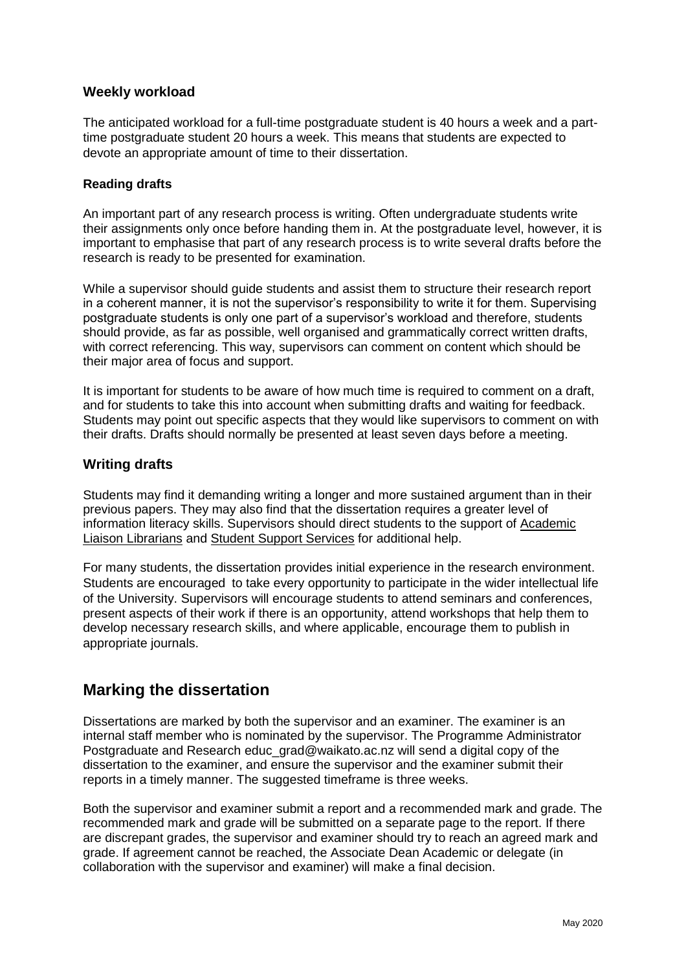### **Weekly workload**

The anticipated workload for a full-time postgraduate student is 40 hours a week and a parttime postgraduate student 20 hours a week. This means that students are expected to devote an appropriate amount of time to their dissertation.

#### **Reading drafts**

An important part of any research process is writing. Often undergraduate students write their assignments only once before handing them in. At the postgraduate level, however, it is important to emphasise that part of any research process is to write several drafts before the research is ready to be presented for examination.

While a supervisor should guide students and assist them to structure their research report in a coherent manner, it is not the supervisor's responsibility to write it for them. Supervising postgraduate students is only one part of a supervisor's workload and therefore, students should provide, as far as possible, well organised and grammatically correct written drafts, with correct referencing. This way, supervisors can comment on content which should be their major area of focus and support.

It is important for students to be aware of how much time is required to comment on a draft, and for students to take this into account when submitting drafts and waiting for feedback. Students may point out specific aspects that they would like supervisors to comment on with their drafts. Drafts should normally be presented at least seven days before a meeting.

### **Writing drafts**

Students may find it demanding writing a longer and more sustained argument than in their previous papers. They may also find that the dissertation requires a greater level of information literacy skills. Supervisors should direct students to the support of Academic [Liaison Librarians](https://www.waikato.ac.nz/library/study/get-help/find-academic-liaison-librarians) and [Student Support Services](http://www.waikato.ac.nz/student-life/student-services) for additional help.

For many students, the dissertation provides initial experience in the research environment. Students are encouraged to take every opportunity to participate in the wider intellectual life of the University. Supervisors will encourage students to attend seminars and conferences, present aspects of their work if there is an opportunity, attend workshops that help them to develop necessary research skills, and where applicable, encourage them to publish in appropriate journals.

## **Marking the dissertation**

Dissertations are marked by both the supervisor and an examiner. The examiner is an internal staff member who is nominated by the supervisor. The Programme Administrator Postgraduate and Research educ grad@waikato.ac.nz will send a digital copy of the dissertation to the examiner, and ensure the supervisor and the examiner submit their reports in a timely manner. The suggested timeframe is three weeks.

Both the supervisor and examiner submit a report and a recommended mark and grade. The recommended mark and grade will be submitted on a separate page to the report. If there are discrepant grades, the supervisor and examiner should try to reach an agreed mark and grade. If agreement cannot be reached, the Associate Dean Academic or delegate (in collaboration with the supervisor and examiner) will make a final decision.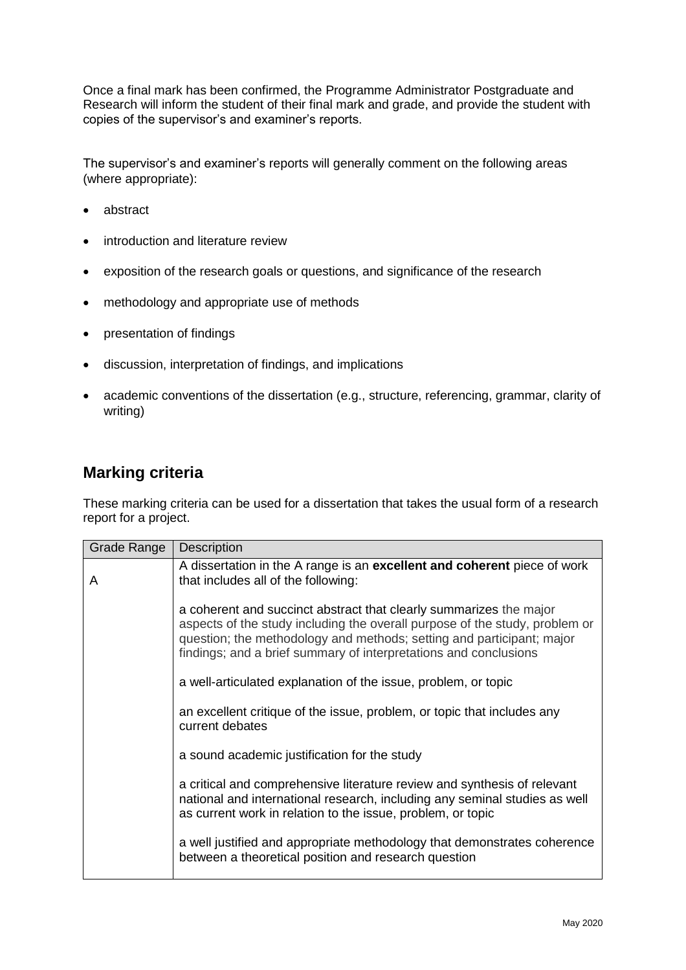Once a final mark has been confirmed, the Programme Administrator Postgraduate and Research will inform the student of their final mark and grade, and provide the student with copies of the supervisor's and examiner's reports.

The supervisor's and examiner's reports will generally comment on the following areas (where appropriate):

- abstract
- introduction and literature review
- exposition of the research goals or questions, and significance of the research
- methodology and appropriate use of methods
- presentation of findings
- discussion, interpretation of findings, and implications
- academic conventions of the dissertation (e.g., structure, referencing, grammar, clarity of writing)

## **Marking criteria**

These marking criteria can be used for a dissertation that takes the usual form of a research report for a project.

| Grade Range | <b>Description</b>                                                                                                                                                                                                                                                                             |
|-------------|------------------------------------------------------------------------------------------------------------------------------------------------------------------------------------------------------------------------------------------------------------------------------------------------|
| A           | A dissertation in the A range is an excellent and coherent piece of work<br>that includes all of the following:                                                                                                                                                                                |
|             | a coherent and succinct abstract that clearly summarizes the major<br>aspects of the study including the overall purpose of the study, problem or<br>question; the methodology and methods; setting and participant; major<br>findings; and a brief summary of interpretations and conclusions |
|             | a well-articulated explanation of the issue, problem, or topic                                                                                                                                                                                                                                 |
|             | an excellent critique of the issue, problem, or topic that includes any<br>current debates                                                                                                                                                                                                     |
|             | a sound academic justification for the study                                                                                                                                                                                                                                                   |
|             | a critical and comprehensive literature review and synthesis of relevant<br>national and international research, including any seminal studies as well<br>as current work in relation to the issue, problem, or topic                                                                          |
|             | a well justified and appropriate methodology that demonstrates coherence<br>between a theoretical position and research question                                                                                                                                                               |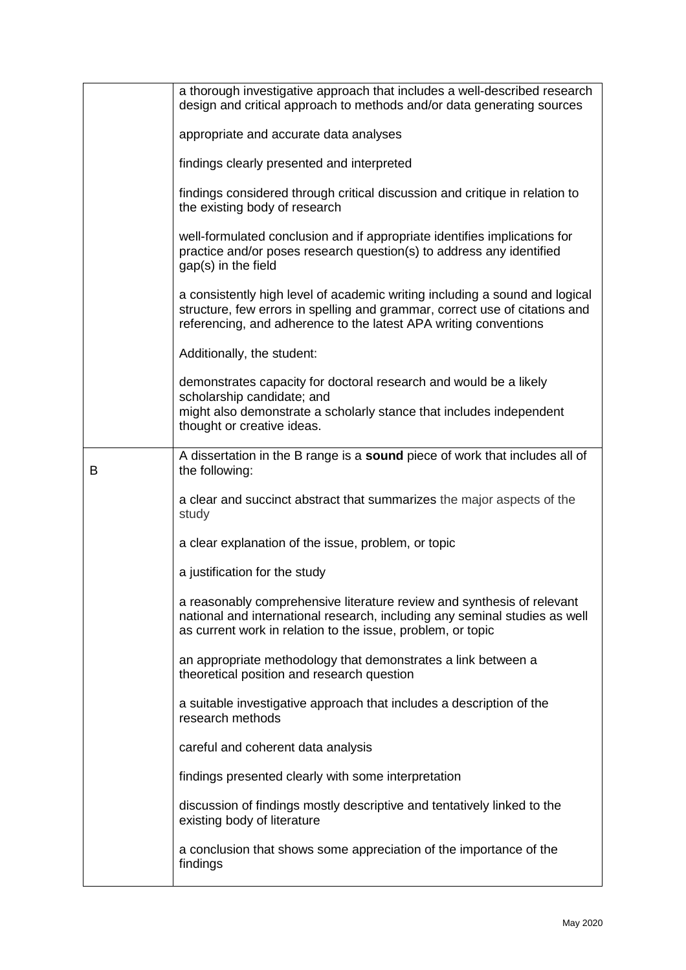|   | a thorough investigative approach that includes a well-described research<br>design and critical approach to methods and/or data generating sources                                                                            |
|---|--------------------------------------------------------------------------------------------------------------------------------------------------------------------------------------------------------------------------------|
|   | appropriate and accurate data analyses                                                                                                                                                                                         |
|   | findings clearly presented and interpreted                                                                                                                                                                                     |
|   | findings considered through critical discussion and critique in relation to<br>the existing body of research                                                                                                                   |
|   | well-formulated conclusion and if appropriate identifies implications for<br>practice and/or poses research question(s) to address any identified<br>gap(s) in the field                                                       |
|   | a consistently high level of academic writing including a sound and logical<br>structure, few errors in spelling and grammar, correct use of citations and<br>referencing, and adherence to the latest APA writing conventions |
|   | Additionally, the student:                                                                                                                                                                                                     |
|   | demonstrates capacity for doctoral research and would be a likely<br>scholarship candidate; and                                                                                                                                |
|   | might also demonstrate a scholarly stance that includes independent<br>thought or creative ideas.                                                                                                                              |
| В | A dissertation in the B range is a sound piece of work that includes all of<br>the following:                                                                                                                                  |
|   | a clear and succinct abstract that summarizes the major aspects of the<br>study                                                                                                                                                |
|   | a clear explanation of the issue, problem, or topic                                                                                                                                                                            |
|   | a justification for the study                                                                                                                                                                                                  |
|   | a reasonably comprehensive literature review and synthesis of relevant<br>national and international research, including any seminal studies as well<br>as current work in relation to the issue, problem, or topic            |
|   | an appropriate methodology that demonstrates a link between a<br>theoretical position and research question                                                                                                                    |
|   | a suitable investigative approach that includes a description of the<br>research methods                                                                                                                                       |
|   | careful and coherent data analysis                                                                                                                                                                                             |
|   | findings presented clearly with some interpretation                                                                                                                                                                            |
|   | discussion of findings mostly descriptive and tentatively linked to the<br>existing body of literature                                                                                                                         |
|   | a conclusion that shows some appreciation of the importance of the<br>findings                                                                                                                                                 |